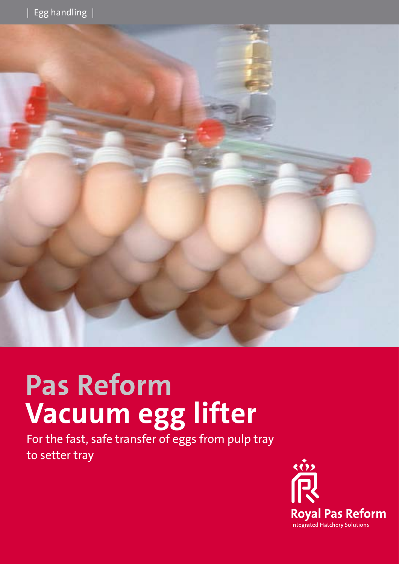

# **Pas Reform Vacuum egg lifter**

For the fast, safe transfer of eggs from pulp tray to setter tray